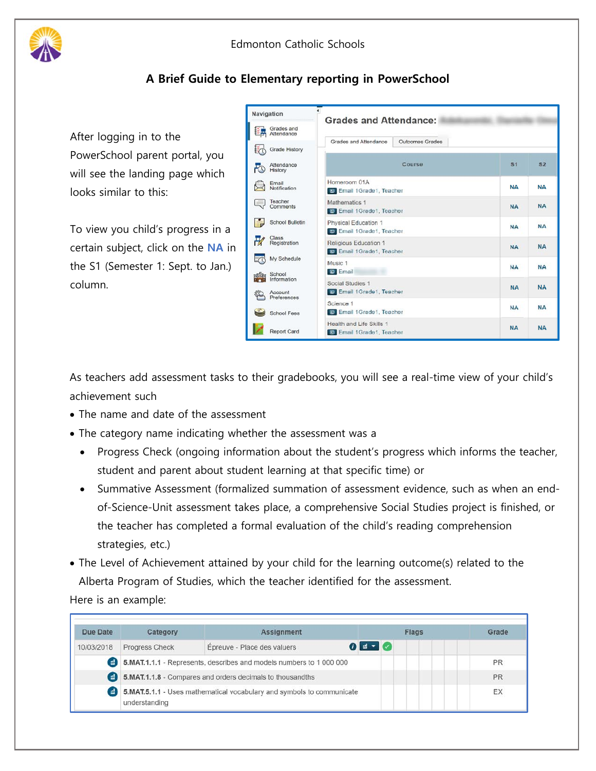

## **A Brief Guide to Elementary reporting in PowerSchool**

After logging in to the PowerSchool parent portal, you will see the landing page which looks similar to this:

To view you child's progress in a certain subject, click on the **NA** in the S1 (Semester 1: Sept. to Jan.) column.

| Navigation                        | <b>Grades and Attendance:</b>                               |                 |                |                |
|-----------------------------------|-------------------------------------------------------------|-----------------|----------------|----------------|
| Grades and<br>Attendance          |                                                             |                 |                |                |
| Grade History                     | Grades and Attendance                                       | Outcomes Grades |                |                |
| Attendance<br>History             | Course                                                      |                 | S <sub>1</sub> | S <sub>2</sub> |
| Email<br>Notification             | Homeroom 01A<br><b>B</b> Email 1Grade1, Teacher             |                 | <b>NA</b>      | NΑ             |
| Teacher<br>Comments               | Mathematics 1<br><b>Email 1Grade1</b> , Teacher             |                 | <b>NA</b>      | <b>NA</b>      |
| School Bulletin                   | Physical Education 1<br><b>Email 1Grade1</b> , Teacher      | <b>NA</b>       | <b>NA</b>      |                |
| Class<br>Registration             | Religious Education 1<br><b>B</b> Email 1Grade1, Teacher    | <b>NA</b>       | <b>NA</b>      |                |
| My Schedule                       | Music 1<br><b>D</b> Email                                   |                 | <b>NA</b>      | <b>NA</b>      |
| School<br>Information<br>Account  | Social Studies 1<br><b>m</b> Email 1Grade1, Teacher         | <b>NA</b>       | <b>NA</b>      |                |
| Preferences<br><b>School Fees</b> | Science 1<br><b>Email 1Grade1</b> , Teacher                 | <b>NA</b>       | <b>NA</b>      |                |
| <b>Report Card</b>                | Health and Life Skills 1<br><b>B</b> Email 1Grade1, Teacher | <b>NA</b>       | <b>NA</b>      |                |
|                                   |                                                             |                 |                |                |

As teachers add assessment tasks to their gradebooks, you will see a real-time view of your child's achievement such

- The name and date of the assessment
- The category name indicating whether the assessment was a
	- Progress Check (ongoing information about the student's progress which informs the teacher, student and parent about student learning at that specific time) or
	- Summative Assessment (formalized summation of assessment evidence, such as when an endof-Science-Unit assessment takes place, a comprehensive Social Studies project is finished, or the teacher has completed a formal evaluation of the child's reading comprehension strategies, etc.)
- The Level of Achievement attained by your child for the learning outcome(s) related to the Alberta Program of Studies, which the teacher identified for the assessment.

Here is an example:

| Due Date                                              | Category                                                                               | <b>Assignment</b>           | Flags                                                                                                                                                                                                                                                                                                               | Grade |
|-------------------------------------------------------|----------------------------------------------------------------------------------------|-----------------------------|---------------------------------------------------------------------------------------------------------------------------------------------------------------------------------------------------------------------------------------------------------------------------------------------------------------------|-------|
| 10/03/2018                                            | Progress Check                                                                         | Épreuve - Place des valuers | $\frac{1}{2}$ $\frac{1}{2}$ $\frac{1}{2}$ $\frac{1}{2}$ $\frac{1}{2}$ $\frac{1}{2}$ $\frac{1}{2}$ $\frac{1}{2}$ $\frac{1}{2}$ $\frac{1}{2}$ $\frac{1}{2}$ $\frac{1}{2}$ $\frac{1}{2}$ $\frac{1}{2}$ $\frac{1}{2}$ $\frac{1}{2}$ $\frac{1}{2}$ $\frac{1}{2}$ $\frac{1}{2}$ $\frac{1}{2}$ $\frac{1}{2}$ $\frac{1}{2}$ |       |
| $\bullet$                                             | 5.MAT.1.1.1 - Represents, describes and models numbers to 1 000 000                    |                             |                                                                                                                                                                                                                                                                                                                     | PR    |
| $\left( \begin{array}{c} 1 \\ -1 \end{array} \right)$ | 5.MAT.1.1.8 - Compares and orders decimals to thousandths                              |                             |                                                                                                                                                                                                                                                                                                                     | PR    |
| $\left( \frac{1}{2} \right)$                          | 5.MAT.5.1.1 - Uses mathematical vocabulary and symbols to communicate<br>understanding |                             |                                                                                                                                                                                                                                                                                                                     | EX    |